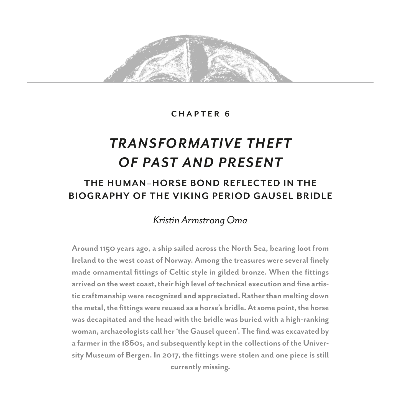

#### **CHAPTER 6**

# *TRAN SFORMATIVE TH EFT OF PAST AND PRESENT*

## **THE HUMAN – HOR SE BOND REFLECTED IN THE BIOGRAPHY OF THE VIKING PERIOD GAUSEL BRIDLE**

## *Kristin Armstrong Oma*

**Around 1150 years ago, a ship sailed across the North Sea, bearing loot from Ireland to the west coast of Norway. Among the treasures were several finely made ornamental fittings of Celtic style in gilded bronze. When the fittings arrived on the west coast, their high level of technical execution and fine artistic craftmanship were recognized and appreciated. Rather than melting down the metal, the fittings were reused as a horse's bridle. At some point, the horse was decapitated and the head with the bridle was buried with a high-ranking woman, archaeologists call her 'the Gausel queen'. The find was excavated by a farmer in the 1860s, and subsequently kept in the collections of the University Museum of Bergen. In 2017, the fittings were stolen and one piece is still currently missing.**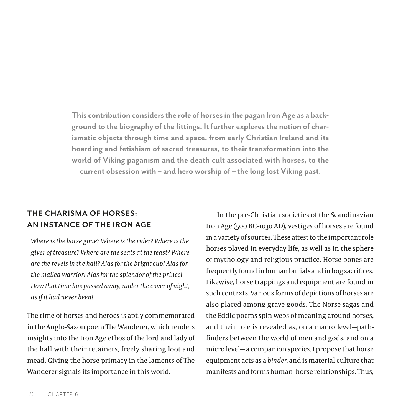**This contribution considers the role of horses in the pagan Iron Age as a background to the biography of the fittings. It further explores the notion of charismatic objects through time and space, from early Christian Ireland and its hoarding and fetishism of sacred treasures, to their transformation into the world of Viking paganism and the death cult associated with horses, to the current obsession with – and hero worship of – the long lost Viking past.**

### **THE CHARISMA OF HORSES: AN INSTANCE OF THE IRON AGE**

*Where is the horse gone? Where is the rider? Where is the giver of treasure? Where are the seats at the feast? Where are the revels in the hall? Alas for the bright cup! Alas for the mailed warrior! Alas for the splendor of the prince! How that time has passed away, under the cover of night, as if it had never been!*

The time of horses and heroes is aptly commemorated in the Anglo-Saxon poem The Wanderer, which renders insights into the Iron Age ethos of the lord and lady of the hall with their retainers, freely sharing loot and mead. Giving the horse primacy in the laments of The Wanderer signals its importance in this world.

In the pre-Christian societies of the Scandinavian Iron Age (500 BC–1030 AD), vestiges of horses are found in a variety of sources. These attest to the important role horses played in everyday life, as well as in the sphere of mythology and religious practice. Horse bones are frequently found in human burials and in bog sacrifices. Likewise, horse trappings and equipment are found in such contexts. Various forms of depictions of horses are also placed among grave goods. The Norse sagas and the Eddic poems spin webs of meaning around horses, and their role is revealed as, on a macro level—pathfinders between the world of men and gods, and on a micro level— a companion species. I propose that horse equipment acts as a *binder*, and is material culture that manifests and forms human–horse relationships. Thus,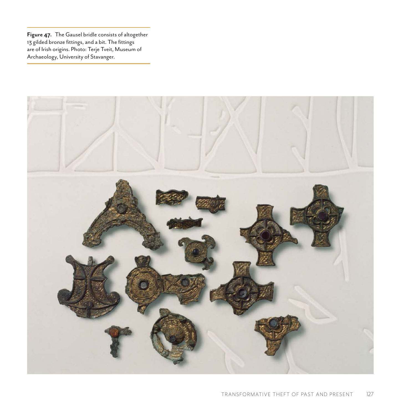**Figure 47.** The Gausel bridle consists of altogether 13 gilded bronze fittings, and a bit. The fittings are of Irish origins. Photo: Terje Tveit, Museum of Archaeology, University of Stavanger.

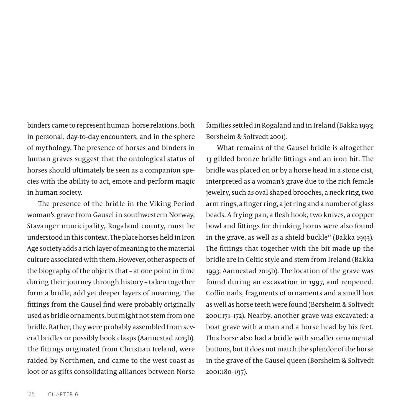binders came to represent human–horse relations, both in personal, day-to-day encounters, and in the sphere of mythology. The presence of horses and binders in human graves suggest that the ontological status of horses should ultimately be seen as a companion species with the ability to act, emote and perform magic in human society.

The presence of the bridle in the Viking Period woman's grave from Gausel in southwestern Norway, Stavanger municipality, Rogaland county, must be understood in this context. The place horses held in Iron Age society adds a rich layer of meaning to the material culture associated with them. However, other aspects of the biography of the objects that – at one point in time during their journey through history – taken together form a bridle, add yet deeper layers of meaning. The fittings from the Gausel find were probably originally used as bridle ornaments, but might not stem from one bridle. Rather, they were probably assembled from several bridles or possibly book clasps (Aannestad 2015b). The fittings originated from Christian Ireland, were raided by Northmen, and came to the west coast as loot or as gifts consolidating alliances between Norse

families settled in Rogaland and in Ireland (Bakka 1993; Børsheim & Soltvedt 2001).

What remains of the Gausel bridle is altogether 13 gilded bronze bridle fittings and an iron bit. The bridle was placed on or by a horse head in a stone cist, interpreted as a woman's grave due to the rich female jewelry, such as oval shaped brooches, a neck ring, two arm rings, a finger ring, a jet ring and a number of glass beads. A frying pan, a flesh hook, two knives, a copper bowl and fittings for drinking horns were also found in the grave, as well as a shield buckle<sup>13</sup> (Bakka 1993). The fittings that together with the bit made up the bridle are in Celtic style and stem from Ireland (Bakka 1993; Aannestad 2015b). The location of the grave was found during an excavation in 1997, and reopened. Coffin nails, fragments of ornaments and a small box as well as horse teeth were found (Børsheim & Soltvedt 2001:171–172). Nearby, another grave was excavated: a boat grave with a man and a horse head by his feet. This horse also had a bridle with smaller ornamental buttons, but it does not match the splendor of the horse in the grave of the Gausel queen (Børsheim & Soltvedt 2001:180–197).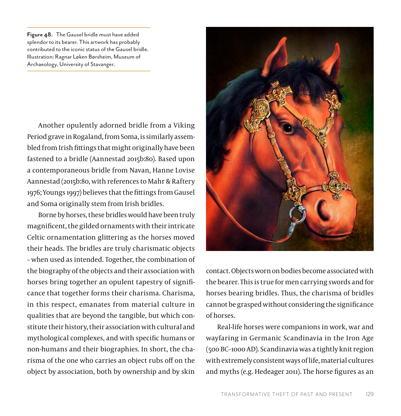**Figure 48.** The Gausel bridle must have added splendor to its bearer. This artwork has probably contributed to the iconic status of the Gausel bridle. Illustration: Ragnar Løken Børsheim, Museum of Archaeology, University of Stavanger.

Another opulently adorned bridle from a Viking Period grave in Rogaland, from Soma, is similarly assembled from Irish fittings that might originally have been fastened to a bridle (Aannestad 2015b:80). Based upon a contemporaneous bridle from Navan, Hanne Lovise Aannestad (2015b:80, with references to Mahr & Raftery 1976; Youngs 1997) believes that the fittings from Gausel and Soma originally stem from Irish bridles.

Borne by horses, these bridles would have been truly magnificent, the gilded ornaments with their intricate Celtic ornamentation glittering as the horses moved their heads. The bridles are truly charismatic objects – when used as intended. Together, the combination of the biography of the objects and their association with horses bring together an opulent tapestry of significance that together forms their charisma. Charisma, in this respect, emanates from material culture in qualities that are beyond the tangible, but which constitute their history, their association with cultural and mythological complexes, and with specific humans or non-humans and their biographies. In short, the charisma of the one who carries an object rubs off on the object by association, both by ownership and by skin



contact. Objects worn on bodies become associated with the bearer. This is true for men carrying swords and for horses bearing bridles. Thus, the charisma of bridles cannot be grasped without considering the significance of horses.

Real-life horses were companions in work, war and wayfaring in Germanic Scandinavia in the Iron Age (500 BC–1000 AD). Scandinavia was a tightly knit region with extremely consistent ways of life, material cultures and myths (e.g. Hedeager 2011). The horse figures as an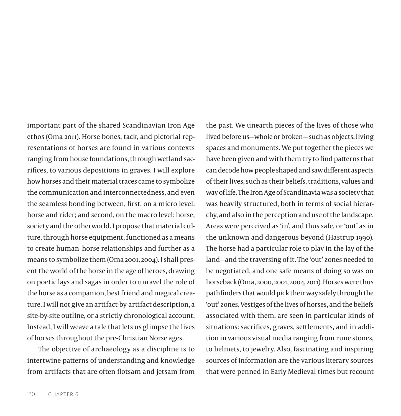important part of the shared Scandinavian Iron Age ethos (Oma 2011). Horse bones, tack, and pictorial representations of horses are found in various contexts ranging from house foundations, through wetland sacrifices, to various depositions in graves. I will explore how horses and their material traces came to symbolize the communication and interconnectedness, and even the seamless bonding between, first, on a micro level: horse and rider; and second, on the macro level: horse, society and the otherworld. I propose that material culture, through horse equipment, functioned as a means to create human–horse relationships and further as a means to symbolize them (Oma 2001, 2004). I shall present the world of the horse in the age of heroes, drawing on poetic lays and sagas in order to unravel the role of the horse as a companion, best friend and magical creature. I will not give an artifact-by-artifact description, a site-by-site outline, or a strictly chronological account. Instead, I will weave a tale that lets us glimpse the lives of horses throughout the pre-Christian Norse ages.

The objective of archaeology as a discipline is to intertwine patterns of understanding and knowledge from artifacts that are often flotsam and jetsam from the past. We unearth pieces of the lives of those who lived before us—whole or broken— such as objects, living spaces and monuments. We put together the pieces we have been given and with them try to find patterns that can decode how people shaped and saw different aspects of their lives, such as their beliefs, traditions, values and way of life. The Iron Age of Scandinavia was a society that was heavily structured, both in terms of social hierarchy, and also in the perception and use of the landscape. Areas were perceived as 'in', and thus safe, or 'out' as in the unknown and dangerous beyond (Hastrup 1990). The horse had a particular role to play in the lay of the land—and the traversing of it. The 'out' zones needed to be negotiated, and one safe means of doing so was on horseback (Oma, 2000, 2001, 2004, 2011). Horses were thus pathfinders that would pick their way safely through the 'out' zones. Vestiges of the lives of horses, and the beliefs associated with them, are seen in particular kinds of situations: sacrifices, graves, settlements, and in addition in various visual media ranging from rune stones, to helmets, to jewelry. Also, fascinating and inspiring sources of information are the various literary sources that were penned in Early Medieval times but recount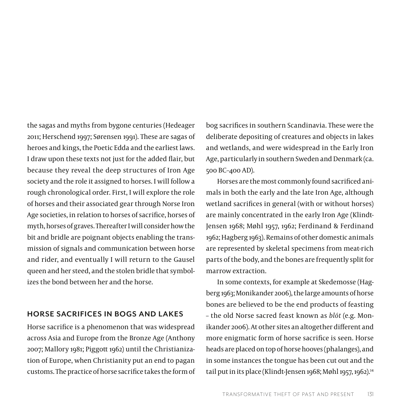the sagas and myths from bygone centuries (Hedeager 2011; Herschend 1997; Sørensen 1991). These are sagas of heroes and kings, the Poetic Edda and the earliest laws. I draw upon these texts not just for the added flair, but because they reveal the deep structures of Iron Age society and the role it assigned to horses. I will follow a rough chronological order. First, I will explore the role of horses and their associated gear through Norse Iron Age societies, in relation to horses of sacrifice, horses of myth, horses of graves. Thereafter I will consider how the bit and bridle are poignant objects enabling the transmission of signals and communication between horse and rider, and eventually I will return to the Gausel queen and her steed, and the stolen bridle that symbolizes the bond between her and the horse.

#### **HORSE SACRIFICES IN BOGS AND LAKES**

Horse sacrifice is a phenomenon that was widespread across Asia and Europe from the Bronze Age (Anthony 2007; Mallory 1981; Piggott 1962) until the Christianization of Europe, when Christianity put an end to pagan customs. The practice of horse sacrifice takes the form of bog sacrifices in southern Scandinavia. These were the deliberate depositing of creatures and objects in lakes and wetlands, and were widespread in the Early Iron Age, particularly in southern Sweden and Denmark (ca. 500 BC–400 AD).

Horses are the most commonly found sacrificed animals in both the early and the late Iron Age, although wetland sacrifices in general (with or without horses) are mainly concentrated in the early Iron Age (Klindt-Jensen 1968; Møhl 1957, 1962; Ferdinand & Ferdinand 1962; Hagberg 1963). Remains of other domestic animals are represented by skeletal specimens from meat-rich parts of the body, and the bones are frequently split for marrow extraction.

In some contexts, for example at Skedemosse (Hagberg 1963; Monikander 2006), the large amounts of horse bones are believed to be the end products of feasting – the old Norse sacred feast known as *blót* (e.g. Monikander 2006). At other sites an altogether different and more enigmatic form of horse sacrifice is seen. Horse heads are placed on top of horse hooves (phalanges), and in some instances the tongue has been cut out and the tail put in its place (Klindt-Jensen 1968; Møhl 1957, 1962).<sup>14</sup>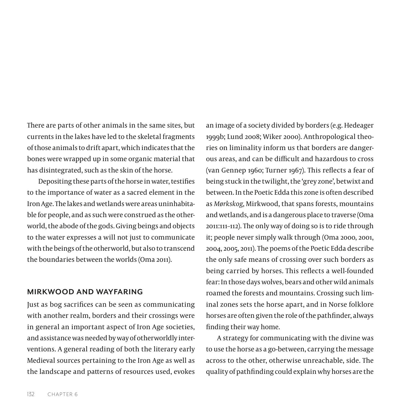There are parts of other animals in the same sites, but currents in the lakes have led to the skeletal fragments of those animals to drift apart, which indicates that the bones were wrapped up in some organic material that has disintegrated, such as the skin of the horse.

Depositing these parts of the horse in water, testifies to the importance of water as a sacred element in the Iron Age. The lakes and wetlands were areas uninhabitable for people, and as such were construed as the otherworld, the abode of the gods. Giving beings and objects to the water expresses a will not just to communicate with the beings of the otherworld, but also to transcend the boundaries between the worlds (Oma 2011).

#### **MIRKWOOD AND WAYFARING**

Just as bog sacrifices can be seen as communicating with another realm, borders and their crossings were in general an important aspect of Iron Age societies, and assistance was needed by way of otherworldly interventions. A general reading of both the literary early Medieval sources pertaining to the Iron Age as well as the landscape and patterns of resources used, evokes

an image of a society divided by borders (e.g. Hedeager 1999b; Lund 2008; Wiker 2000). Anthropological theories on liminality inform us that borders are dangerous areas, and can be difficult and hazardous to cross (van Gennep 1960; Turner 1967). This reflects a fear of being stuck in the twilight, the 'grey zone', betwixt and between. In the Poetic Edda this zone is often described as *Mørkskog*, Mirkwood, that spans forests, mountains and wetlands, and is a dangerous place to traverse (Oma 2011:111–112). The only way of doing so is to ride through it; people never simply walk through (Oma 2000, 2001, 2004, 2005, 2011). The poems of the Poetic Edda describe the only safe means of crossing over such borders as being carried by horses. This reflects a well-founded fear: In those days wolves, bears and other wild animals roamed the forests and mountains. Crossing such liminal zones sets the horse apart, and in Norse folklore horses are often given the role of the pathfinder, always finding their way home.

A strategy for communicating with the divine was to use the horse as a go-between, carrying the message across to the other, otherwise unreachable, side. The quality of pathfinding could explain why horses are the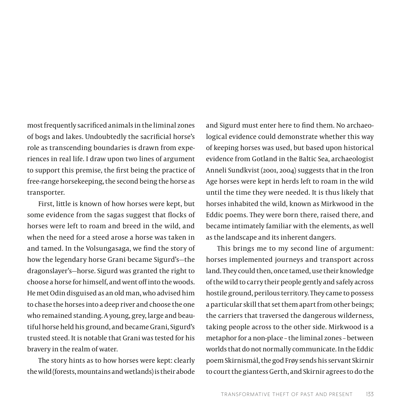most frequently sacrificed animals in the liminal zones of bogs and lakes. Undoubtedly the sacrificial horse's role as transcending boundaries is drawn from experiences in real life. I draw upon two lines of argument to support this premise, the first being the practice of free-range horsekeeping, the second being the horse as transporter.

First, little is known of how horses were kept, but some evidence from the sagas suggest that flocks of horses were left to roam and breed in the wild, and when the need for a steed arose a horse was taken in and tamed. In the Volsungasaga, we find the story of how the legendary horse Grani became Sigurd's—the dragonslayer's—horse. Sigurd was granted the right to choose a horse for himself, and went off into the woods. He met Odin disguised as an old man, who advised him to chase the horses into a deep river and choose the one who remained standing. A young, grey, large and beautiful horse held his ground, and became Grani, Sigurd's trusted steed. It is notable that Grani was tested for his bravery in the realm of water.

The story hints as to how horses were kept: clearly the wild (forests, mountains and wetlands) is their abode

and Sigurd must enter here to find them. No archaeological evidence could demonstrate whether this way of keeping horses was used, but based upon historical evidence from Gotland in the Baltic Sea, archaeologist Anneli Sundkvist (2001, 2004) suggests that in the Iron Age horses were kept in herds left to roam in the wild until the time they were needed. It is thus likely that horses inhabited the wild, known as Mirkwood in the Eddic poems. They were born there, raised there, and became intimately familiar with the elements, as well as the landscape and its inherent dangers.

This brings me to my second line of argument: horses implemented journeys and transport across land. They could then, once tamed, use their knowledge of the wild to carry their people gently and safely across hostile ground, perilous territory. They came to possess a particular skill that set them apart from other beings; the carriers that traversed the dangerous wilderness, taking people across to the other side. Mirkwood is a metaphor for a non-place – the liminal zones – between worlds that do not normally communicate. In the Eddic poem Skirnismál, the god Frøy sends his servant Skirnir to court the giantess Gerth, and Skirnir agrees to do the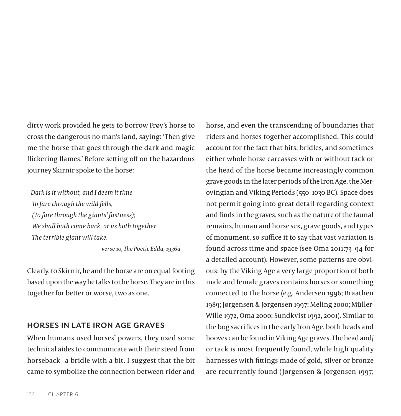dirty work provided he gets to borrow Frøy's horse to cross the dangerous no man's land, saying: 'Then give me the horse that goes through the dark and magic flickering flames.' Before setting off on the hazardous journey Skirnir spoke to the horse:

*Dark is it without, and I deem it time To fare through the wild fells, (To fare through the giants' fastness); We shall both come back, or us both together The terrible giant will take.*

*verse 10, The Poetic Edda, 1936a*

Clearly, to Skirnir, he and the horse are on equal footing based upon the way he talks to the horse. They are in this together for better or worse, two as one.

#### **HORSES IN LATE IRON AGE GRAVES**

When humans used horses' powers, they used some technical aides to communicate with their steed from horseback—a bridle with a bit. I suggest that the bit came to symbolize the connection between rider and

horse, and even the transcending of boundaries that riders and horses together accomplished. This could account for the fact that bits, bridles, and sometimes either whole horse carcasses with or without tack or the head of the horse became increasingly common grave goods in the later periods of the Iron Age, the Merovingian and Viking Periods (550–1030 BC). Space does not permit going into great detail regarding context and finds in the graves, such as the nature of the faunal remains, human and horse sex, grave goods, and types of monument, so suffice it to say that vast variation is found across time and space (see Oma 2011:73–94 for a detailed account). However, some patterns are obvious: by the Viking Age a very large proportion of both male and female graves contains horses or something connected to the horse (e.g. Andersen 1996; Braathen 1989; Jørgensen & Jørgensen 1997; Meling 2000; Müller-Wille 1972, Oma 2000; Sundkvist 1992, 2001). Similar to the bog sacrifices in the early Iron Age, both heads and hooves can be found in Viking Age graves. The head and/ or tack is most frequently found, while high quality harnesses with fittings made of gold, silver or bronze are recurrently found (Jørgensen & Jørgensen 1997;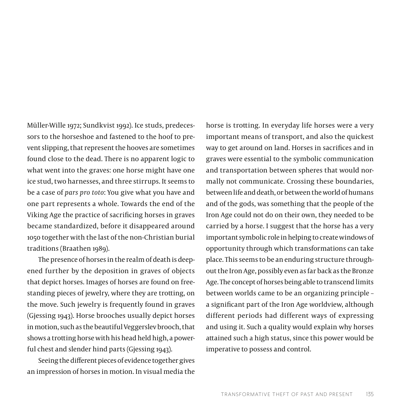Müller-Wille 1972; Sundkvist 1992). Ice studs, predecessors to the horseshoe and fastened to the hoof to prevent slipping, that represent the hooves are sometimes found close to the dead. There is no apparent logic to what went into the graves: one horse might have one ice stud, two harnesses, and three stirrups. It seems to be a case of *pars pro toto*: You give what you have and one part represents a whole. Towards the end of the Viking Age the practice of sacrificing horses in graves became standardized, before it disappeared around 1050 together with the last of the non-Christian burial traditions (Braathen 1989).

The presence of horses in the realm of death is deepened further by the deposition in graves of objects that depict horses. Images of horses are found on freestanding pieces of jewelry, where they are trotting, on the move. Such jewelry is frequently found in graves (Gjessing 1943). Horse brooches usually depict horses in motion, such as the beautiful Veggerslev brooch, that shows a trotting horse with his head held high, a powerful chest and slender hind parts (Gjessing 1943).

Seeing the different pieces of evidence together gives an impression of horses in motion. In visual media the horse is trotting. In everyday life horses were a very important means of transport, and also the quickest way to get around on land. Horses in sacrifices and in graves were essential to the symbolic communication and transportation between spheres that would normally not communicate. Crossing these boundaries, between life and death, or between the world of humans and of the gods, was something that the people of the Iron Age could not do on their own, they needed to be carried by a horse. I suggest that the horse has a very important symbolic role in helping to create windows of opportunity through which transformations can take place. This seems to be an enduring structure throughout the Iron Age, possibly even as far back as the Bronze Age. The concept of horses being able to transcend limits between worlds came to be an organizing principle – a significant part of the Iron Age worldview, although different periods had different ways of expressing and using it. Such a quality would explain why horses attained such a high status, since this power would be imperative to possess and control.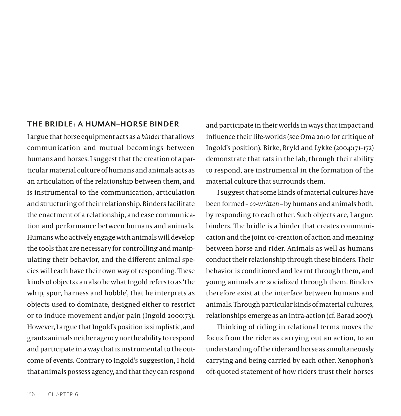#### **THE BRIDLE: A HUMAN–HORSE BINDER**

I argue that horse equipment acts as a *binder* that allows communication and mutual becomings between humans and horses. I suggest that the creation of a particular material culture of humans and animals acts as an articulation of the relationship between them, and is instrumental to the communication, articulation and structuring of their relationship. Binders facilitate the enactment of a relationship, and ease communication and performance between humans and animals. Humans who actively engage with animals will develop the tools that are necessary for controlling and manipulating their behavior, and the different animal species will each have their own way of responding. These kinds of objects can also be what Ingold refers to as 'the whip, spur, harness and hobble', that he interprets as objects used to dominate, designed either to restrict or to induce movement and/or pain (Ingold 2000:73). However, I argue that Ingold's position is simplistic, and grants animals neither agency nor the ability to respond and participate in a way that is instrumental to the outcome of events. Contrary to Ingold's suggestion, I hold that animals possess agency, and that they can respond

and participate in their worlds in ways that impact and influence their life-worlds (see Oma 2010 for critique of Ingold's position). Birke, Bryld and Lykke (2004:171–172) demonstrate that rats in the lab, through their ability to respond, are instrumental in the formation of the material culture that surrounds them.

I suggest that some kinds of material cultures have been formed – *co-written* – by humans and animals both, by responding to each other. Such objects are, I argue, binders. The bridle is a binder that creates communication and the joint co-creation of action and meaning between horse and rider. Animals as well as humans conduct their relationship through these binders. Their behavior is conditioned and learnt through them, and young animals are socialized through them. Binders therefore exist at the interface between humans and animals. Through particular kinds of material cultures, relationships emerge as an intra-action (cf. Barad 2007).

Thinking of riding in relational terms moves the focus from the rider as carrying out an action, to an understanding of the rider and horse as simultaneously carrying and being carried by each other. Xenophon's oft-quoted statement of how riders trust their horses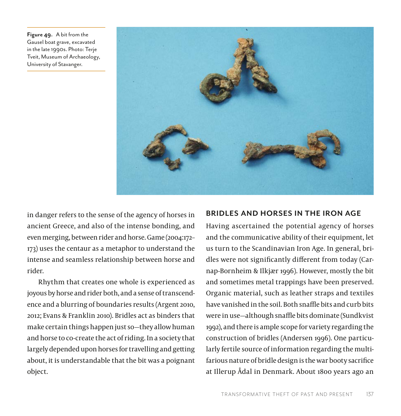**Figure 49.** A bit from the Gausel boat grave, excavated in the late 1990s. Photo: Terje Tveit, Museum of Archaeology, University of Stavanger.



in danger refers to the sense of the agency of horses in ancient Greece, and also of the intense bonding, and even merging, between rider and horse. Game (2004:172– 173) uses the centaur as a metaphor to understand the intense and seamless relationship between horse and rider.

Rhythm that creates one whole is experienced as joyous by horse and rider both, and a sense of transcendence and a blurring of boundaries results (Argent 2010, 2012; Evans & Franklin 2010). Bridles act as binders that make certain things happen just so—they allow human and horse to co-create the act of riding. In a society that largely depended upon horses for travelling and getting about, it is understandable that the bit was a poignant object.

#### **BRIDLES AND HORSES IN THE IRON AGE**

Having ascertained the potential agency of horses and the communicative ability of their equipment, let us turn to the Scandinavian Iron Age. In general, bridles were not significantly different from today (Carnap-Bornheim & Ilkjær 1996). However, mostly the bit and sometimes metal trappings have been preserved. Organic material, such as leather straps and textiles have vanished in the soil. Both snaffle bits and curb bits were in use—although snaffle bits dominate (Sundkvist 1992), and there is ample scope for variety regarding the construction of bridles (Andersen 1996). One particularly fertile source of information regarding the multifarious nature of bridle design is the war booty sacrifice at Illerup Ådal in Denmark. About 1800 years ago an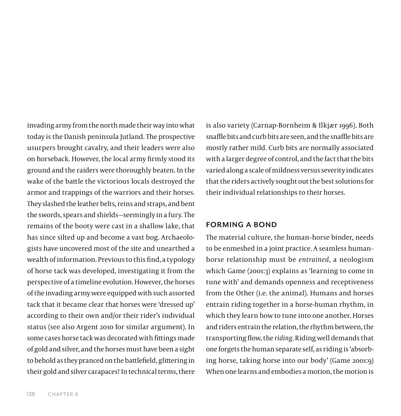invading army from the north made their way into what today is the Danish peninsula Jutland. The prospective usurpers brought cavalry, and their leaders were also on horseback. However, the local army firmly stood its ground and the raiders were thoroughly beaten. In the wake of the battle the victorious locals destroyed the armor and trappings of the warriors and their horses. They slashed the leather belts, reins and straps, and bent the swords, spears and shields—seemingly in a fury. The remains of the booty were cast in a shallow lake, that has since silted up and become a vast bog. Archaeologists have uncovered most of the site and unearthed a wealth of information. Previous to this find, a typology of horse tack was developed, investigating it from the perspective of a timeline evolution. However, the horses of the invading army were equipped with such assorted tack that it became clear that horses were 'dressed up' according to their own and/or their rider's individual status (see also Argent 2010 for similar argument). In some cases horse tack was decorated with fittings made of gold and silver, and the horses must have been a sight to behold as they pranced on the battlefield, glittering in their gold and silver carapaces! In technical terms, there

is also variety (Carnap-Bornheim & Ilkjær 1996). Both snaffle bits and curb bits are seen, and the snaffle bits are mostly rather mild. Curb bits are normally associated with a larger degree of control, and the fact that the bits varied along a scale of mildness versus severity indicates that the riders actively sought out the best solutions for their individual relationships to their horses.

#### **FORMING A BOND**

The material culture, the human–horse binder, needs to be enmeshed in a joint practice. A seamless human– horse relationship must be *entrained*, a neologism which Game (2001:3) explains as 'learning to come in tune with' and demands openness and receptiveness from the Other (i.e. the animal). Humans and horses entrain riding together in a horse-human rhythm, in which they learn how to tune into one another. Horses and riders entrain the relation, the rhythm between, the transporting flow, the *riding*. Riding well demands that one forgets the human separate self, as riding is 'absorbing horse, taking horse into our body' (Game 2001:9) When one learns and embodies a motion, the motion is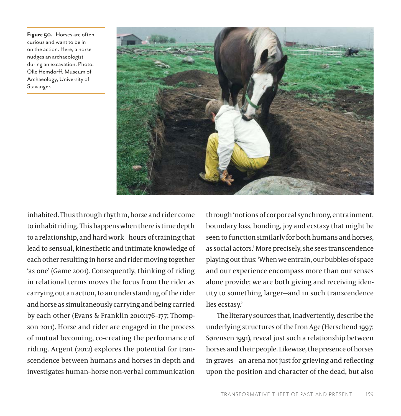**Figure 50.** Horses are often curious and want to be in on the action. Here, a horse nudges an archaeologist during an excavation. Photo: Olle Hemdorff, Museum of Archaeology, University of Stavanger.



inhabited. Thus through rhythm, horse and rider come to inhabit riding. This happens when there is time depth to a relationship, and hard work—hours of training that lead to sensual, kinesthetic and intimate knowledge of each other resulting in horse and rider moving together 'as one' (Game 2001). Consequently, thinking of riding in relational terms moves the focus from the rider as carrying out an action, to an understanding of the rider and horse as simultaneously carrying and being carried by each other (Evans & Franklin 2010:176–177; Thompson 2011). Horse and rider are engaged in the process of mutual becoming, co-creating the performance of riding. Argent (2012) explores the potential for transcendence between humans and horses in depth and investigates human–horse non-verbal communication

through 'notions of corporeal synchrony, entrainment, boundary loss, bonding, joy and ecstasy that might be seen to function similarly for both humans and horses, as social actors.' More precisely, she sees transcendence playing out thus: 'When we entrain, our bubbles of space and our experience encompass more than our senses alone provide; we are both giving and receiving identity to something larger—and in such transcendence lies ecstasy.'

The literary sources that, inadvertently, describe the underlying structures of the Iron Age (Herschend 1997; Sørensen 1991), reveal just such a relationship between horses and their people. Likewise, the presence of horses in graves—an arena not just for grieving and reflecting upon the position and character of the dead, but also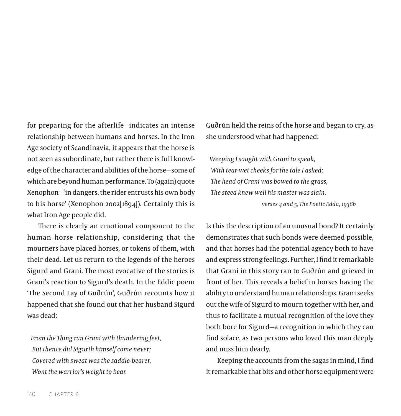for preparing for the afterlife—indicates an intense relationship between humans and horses. In the Iron Age society of Scandinavia, it appears that the horse is not seen as subordinate, but rather there is full knowledge of the character and abilities of the horse—some of which are beyond human performance. To (again) quote Xenophon—'in dangers, the rider entrusts his own body to his horse' (Xenophon 2002[1894]). Certainly this is what Iron Age people did.

There is clearly an emotional component to the human–horse relationship, considering that the mourners have placed horses, or tokens of them, with their dead. Let us return to the legends of the heroes Sigurd and Grani. The most evocative of the stories is Grani's reaction to Sigurd's death. In the Eddic poem 'The Second Lay of Guðrún', Guðrún recounts how it happened that she found out that her husband Sigurd was dead:

*From the Thing ran Grani with thundering feet, But thence did Sigurth himself come never; Covered with sweat was the saddle-bearer, Wont the warrior's weight to bear.*

Guðrún held the reins of the horse and began to cry, as she understood what had happened:

*Weeping I sought with Grani to speak, With tear-wet cheeks for the tale I asked; The head of Grani was bowed to the grass, The steed knew well his master was slain. verses 4 and 5, The Poetic Edda, 1936b*

Is this the description of an unusual bond? It certainly demonstrates that such bonds were deemed possible, and that horses had the potential agency both to have and express strong feelings. Further, I find it remarkable that Grani in this story ran to Guðrún and grieved in front of her. This reveals a belief in horses having the ability to understand human relationships. Grani seeks out the wife of Sigurd to mourn together with her, and thus to facilitate a mutual recognition of the love they both bore for Sigurd—a recognition in which they can find solace, as two persons who loved this man deeply and miss him dearly.

Keeping the accounts from the sagas in mind, I find it remarkable that bits and other horse equipment were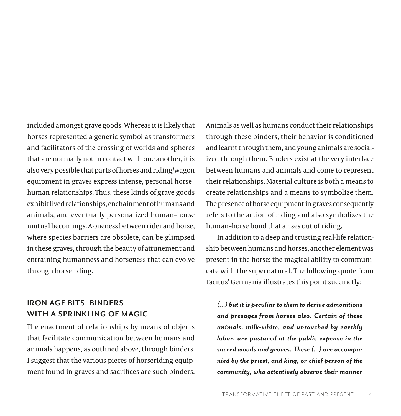included amongst grave goods. Whereas it is likely that horses represented a generic symbol as transformers and facilitators of the crossing of worlds and spheres that are normally not in contact with one another, it is also very possible that parts of horses and riding/wagon equipment in graves express intense, personal horse– human relationships. Thus, these kinds of grave goods exhibit lived relationships, enchainment of humans and animals, and eventually personalized human–horse mutual becomings. A oneness between rider and horse, where species barriers are obsolete, can be glimpsed in these graves, through the beauty of attunement and entraining humanness and horseness that can evolve through horseriding.

## **IRON AGE BITS: BINDERS WITH A SPRINKLING OF MAGIC**

The enactment of relationships by means of objects that facilitate communication between humans and animals happens, as outlined above, through binders. I suggest that the various pieces of horseriding equipment found in graves and sacrifices are such binders.

Animals as well as humans conduct their relationships through these binders, their behavior is conditioned and learnt through them, and young animals are socialized through them. Binders exist at the very interface between humans and animals and come to represent their relationships. Material culture is both a means to create relationships and a means to symbolize them. The presence of horse equipment in graves consequently refers to the action of riding and also symbolizes the human–horse bond that arises out of riding.

In addition to a deep and trusting real-life relationship between humans and horses, another element was present in the horse: the magical ability to communicate with the supernatural. The following quote from Tacitus' Germania illustrates this point succinctly:

*(…) but it is peculiar to them to derive admonitions and presages from horses also. Certain of these animals, milk-white, and untouched by earthly labor, are pastured at the public expense in the sacred woods and groves. These (...) are accompanied by the priest, and king, or chief person of the community, who attentively observe their manner*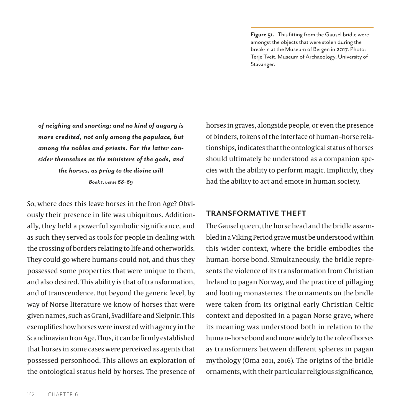**Figure 51.** This fitting from the Gausel bridle were amongst the objects that were stolen during the break-in at the Museum of Bergen in 2017. Photo: Terje Tveit, Museum of Archaeology, University of Stavanger.

*of neighing and snorting; and no kind of augury is more credited, not only among the populace, but among the nobles and priests. For the latter consider themselves as the ministers of the gods, and the horses, as privy to the divine will Book 1, verse 68–69*

So, where does this leave horses in the Iron Age? Obviously their presence in life was ubiquitous. Additionally, they held a powerful symbolic significance, and as such they served as tools for people in dealing with the crossing of borders relating to life and otherworlds. They could go where humans could not, and thus they possessed some properties that were unique to them, and also desired. This ability is that of transformation, and of transcendence. But beyond the generic level, by way of Norse literature we know of horses that were given names, such as Grani, Svadilfare and Sleipnir. This exemplifies how horses were invested with agency in the Scandinavian Iron Age. Thus, it can be firmly established that horses in some cases were perceived as agents that possessed personhood. This allows an exploration of the ontological status held by horses. The presence of horses in graves, alongside people, or even the presence of binders, tokens of the interface of human–horse relationships, indicates that the ontological status of horses should ultimately be understood as a companion species with the ability to perform magic. Implicitly, they had the ability to act and emote in human society.

#### **TRANSFORMATIVE THEFT**

The Gausel queen, the horse head and the bridle assembled in a Viking Period grave must be understood within this wider context, where the bridle embodies the human–horse bond. Simultaneously, the bridle represents the violence of its transformation from Christian Ireland to pagan Norway, and the practice of pillaging and looting monasteries. The ornaments on the bridle were taken from its original early Christian Celtic context and deposited in a pagan Norse grave, where its meaning was understood both in relation to the human–horse bond and more widely to the role of horses as transformers between different spheres in pagan mythology (Oma 2011, 2016). The origins of the bridle ornaments, with their particular religious significance,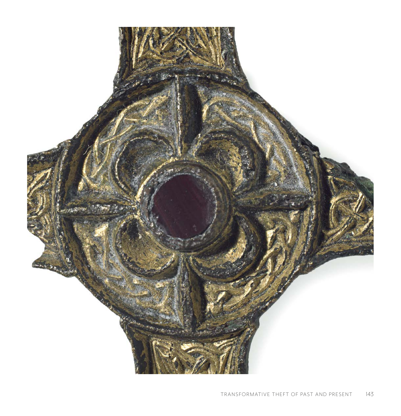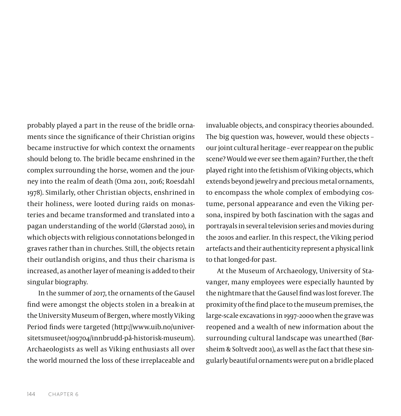probably played a part in the reuse of the bridle ornaments since the significance of their Christian origins became instructive for which context the ornaments should belong to. The bridle became enshrined in the complex surrounding the horse, women and the journey into the realm of death (Oma 2011, 2016; Roesdahl 1978). Similarly, other Christian objects, enshrined in their holiness, were looted during raids on monasteries and became transformed and translated into a pagan understanding of the world (Glørstad 2010), in which objects with religious connotations belonged in graves rather than in churches. Still, the objects retain their outlandish origins, and thus their charisma is increased, as another layer of meaning is added to their singular biography.

In the summer of 2017, the ornaments of the Gausel find were amongst the objects stolen in a break-in at the University Museum of Bergen, where mostly Viking Period finds were targeted (http://www.uib.no/universitetsmuseet/109704/innbrudd-på-historisk-museum). Archaeologists as well as Viking enthusiasts all over the world mourned the loss of these irreplaceable and

invaluable objects, and conspiracy theories abounded. The big question was, however, would these objects – our joint cultural heritage – ever reappear on the public scene? Would we ever see them again? Further, the theft played right into the fetishism of Viking objects, which extends beyond jewelry and precious metal ornaments, to encompass the whole complex of embodying costume, personal appearance and even the Viking persona, inspired by both fascination with the sagas and portrayals in several television series and movies during the 2010s and earlier. In this respect, the Viking period artefacts and their authenticity represent a physical link to that longed-for past.

At the Museum of Archaeology, University of Stavanger, many employees were especially haunted by the nightmare that the Gausel find was lost forever. The proximity of the find place to the museum premises, the large-scale excavations in 1997–2000 when the grave was reopened and a wealth of new information about the surrounding cultural landscape was unearthed (Børsheim & Soltvedt 2001), as well as the fact that these singularly beautiful ornaments were put on a bridle placed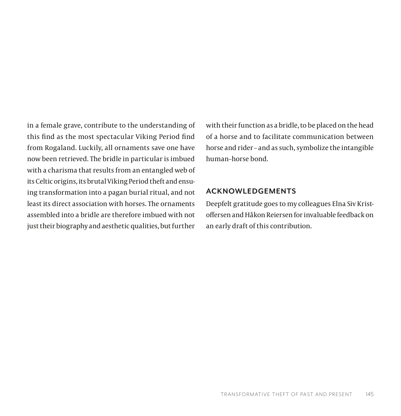in a female grave, contribute to the understanding of this find as the most spectacular Viking Period find from Rogaland. Luckily, all ornaments save one have now been retrieved. The bridle in particular is imbued with a charisma that results from an entangled web of its Celtic origins, its brutal Viking Period theft and ensuing transformation into a pagan burial ritual, and not least its direct association with horses. The ornaments assembled into a bridle are therefore imbued with not just their biography and aesthetic qualities, but further

with their function as a bridle, to be placed on the head of a horse and to facilitate communication between horse and rider – and as such, symbolize the intangible human–horse bond.

#### **ACKNOWLEDGEMENTS**

Deepfelt gratitude goes to my colleagues Elna Siv Kristoffersen and Håkon Reiersen for invaluable feedback on an early draft of this contribution.